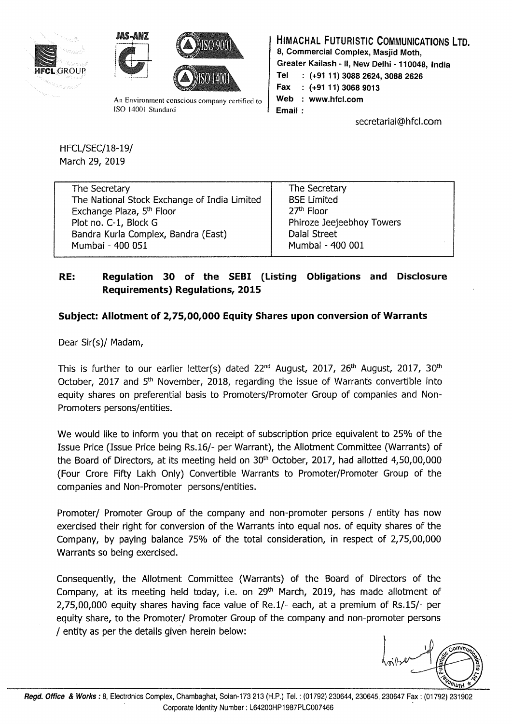





An Environment conscious company certified to ISO 14001 Standard

HIMACHAL FUTURISTIC COMMUNICATIONS LTD.

8, Commercial Complex, Masjid Moth,

Greater Kailash - II, New Delhi - 110048, India

Tel : (+91 11) 3088 2624, 3088 2626

Fax : (+9111) 3068 9013

Web : www.hfcl.com

Email :

secretarial@hfcl.com

HFCL/SEC/18-19/ March 29, 2019

| The Secretary                                | The Secretary             |
|----------------------------------------------|---------------------------|
| The National Stock Exchange of India Limited | <b>BSE Limited</b>        |
| Exchange Plaza, 5th Floor                    | 27 <sup>th</sup> Floor    |
| Plot no. C-1, Block G                        | Phiroze Jeejeebhoy Towers |
| Bandra Kurla Complex, Bandra (East)          | <b>Dalal Street</b>       |
| Mumbai - 400 051                             | Mumbai - 400 001          |

## RE: Regulation 30 of the SEBI (Listing Obligations and Disclosure Requirements) Regulations, 2015

## Subject: Allotment of 2,75,00,000 Equity Shares upon conversion of Warrants

Dear Sir(s)/ Madam,

This is further to our earlier letter(s) dated  $22<sup>nd</sup>$  August,  $2017$ ,  $26<sup>th</sup>$  August,  $2017$ ,  $30<sup>th</sup>$ October, 2017 and 5<sup>th</sup> November, 2018, regarding the issue of Warrants convertible into equity shares on preferential basis to Promoters/Promoter Group of companies and Non-Promoters persons/entities.

We would like to inform you that on receipt of subscription price equivalent to 25% of the Issue Price (Issue Price being Rs.16/- per Warrant), the Allotment Committee (Warrants) of the Board of Directors, at its meeting held on 30<sup>th</sup> October, 2017, had allotted 4,50,00,000 (Four Crore Fifty Lakh Only) Convertible Warrants to Promoter/Promoter Group of the companies and Non-Promoter persons/entities.

Promoter/ Promoter Group of the company and non-promoter persons / entity has now exercised their right for conversion of the Warrants into equal nos. of equity shares of the Company, by paying balance 75% of the total consideration, in respect of 2,75,00,000 Warrants so being exercised.

Consequently, the Allotment Committee (Warrants) of the Board of Directors of the Company, at its meeting held today, i.e. on  $29<sup>th</sup>$  March, 2019, has made allotment of 2,75,00,000 equity shares having face value of Re.1/- each, at a premium of Rs.15/- per equity share, to the Promoter/ Promoter Group of the company and non-promoter persons / entity as per the details given herein below: